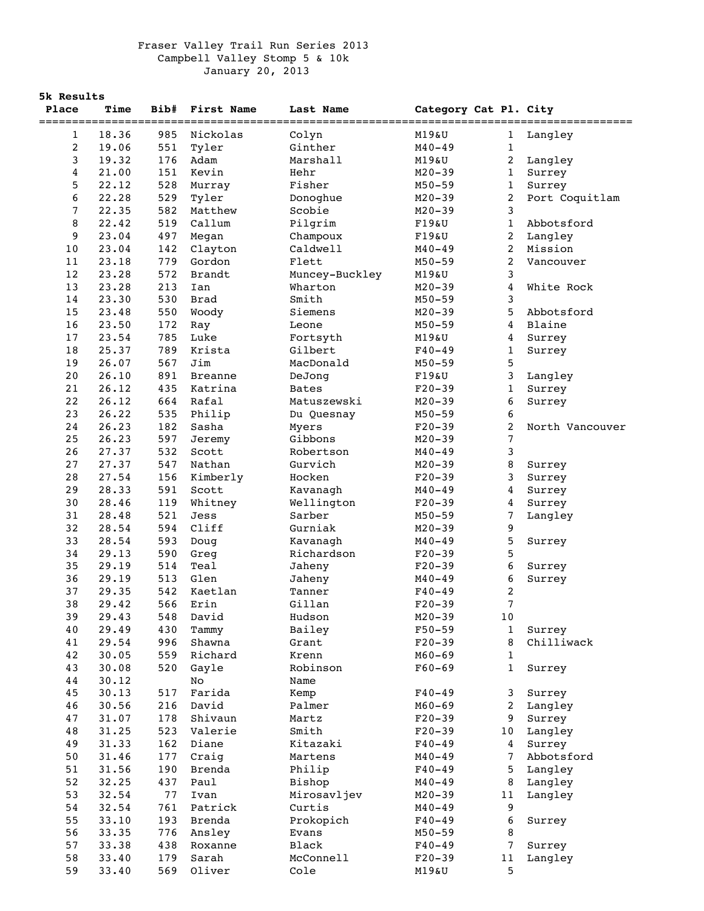## Fraser Valley Trail Run Series 2013 Campbell Valley Stomp 5 & 10k January 20, 2013

|       | 5k Results |      |                |                |                       |                         |                 |  |
|-------|------------|------|----------------|----------------|-----------------------|-------------------------|-----------------|--|
| Place | Time       | Bib# | First Name     | Last Name      | Category Cat Pl. City |                         |                 |  |
|       |            |      |                |                |                       |                         |                 |  |
| 1     | 18.36      | 985  | Nickolas       | Colyn          | M19&U                 | 1                       | Langley         |  |
| 2     | 19.06      | 551  | Tyler          | Ginther        | $M40 - 49$            | $\mathbf{1}$            |                 |  |
| 3     | 19.32      | 176  | Adam           | Marshall       | M19&U                 | 2                       | Langley         |  |
| 4     | 21.00      | 151  | Kevin          | Hehr           | $M20 - 39$            | $\mathbf{1}$            | Surrey          |  |
| 5     | 22.12      | 528  | Murray         | Fisher         | $M50 - 59$            | $\mathbf{1}$            | Surrey          |  |
| 6     | 22.28      | 529  | Tyler          | Donoghue       | $M20 - 39$            | $\overline{\mathbf{c}}$ | Port Coquitlam  |  |
| 7     | 22.35      | 582  | Matthew        | Scobie         | $M20 - 39$            | 3                       |                 |  |
| 8     | 22.42      | 519  | Callum         | Pilgrim        | $F19\&U$              | $\mathbf{1}$            | Abbotsford      |  |
| 9     | 23.04      | 497  | Megan          | Champoux       | F19&U                 | $\overline{a}$          | Langley         |  |
| 10    | 23.04      | 142  | Clayton        | Caldwell       | $M40 - 49$            | 2                       | Mission         |  |
| 11    | 23.18      | 779  | Gordon         | Flett          | $M50 - 59$            | $\overline{2}$          | Vancouver       |  |
| 12    | 23.28      | 572  | <b>Brandt</b>  | Muncey-Buckley | M19&U                 | 3                       |                 |  |
| 13    | 23.28      | 213  | Ian            | Wharton        | $M20 - 39$            | 4                       | White Rock      |  |
| 14    | 23.30      | 530  | <b>Brad</b>    | Smith          | $M50 - 59$            | 3                       |                 |  |
| 15    | 23.48      | 550  | Woody          | Siemens        | $M20 - 39$            | 5                       | Abbotsford      |  |
| 16    | 23.50      | 172  | Ray            | Leone          | $M50 - 59$            | 4                       | Blaine          |  |
| $17$  | 23.54      | 785  | Luke           | Fortsyth       | M19&U                 | 4                       | Surrey          |  |
| 18    | 25.37      | 789  | Krista         | Gilbert        | $F40 - 49$            | $\mathbf 1$             | Surrey          |  |
| 19    | 26.07      | 567  | Jim            | MacDonald      | $M50 - 59$            | 5                       |                 |  |
| 20    | 26.10      | 891  | <b>Breanne</b> | DeJong         | F19&U                 | 3                       | Langley         |  |
| 21    | 26.12      | 435  | Katrina        | <b>Bates</b>   | $F20-39$              | 1                       | Surrey          |  |
| 22    | 26.12      | 664  | Rafal          | Matuszewski    | $M20 - 39$            | 6                       | Surrey          |  |
| 23    | 26.22      | 535  | Philip         | Du Quesnay     | $M50 - 59$            | 6                       |                 |  |
| 24    | 26.23      | 182  | Sasha          | Myers          | $F20-39$              | $\overline{c}$          | North Vancouver |  |
| 25    | 26.23      | 597  | Jeremy         | Gibbons        | $M20 - 39$            | 7                       |                 |  |
| 26    | 27.37      | 532  | Scott          | Robertson      | $M40 - 49$            | 3                       |                 |  |
| 27    | 27.37      | 547  | Nathan         | Gurvich        | $M20 - 39$            | 8                       | Surrey          |  |
| 28    | 27.54      | 156  | Kimberly       | Hocken         | $F20-39$              | 3                       | Surrey          |  |
| 29    | 28.33      | 591  | Scott          | Kavanagh       | $M40 - 49$            | 4                       | Surrey          |  |
| 30    | 28.46      | 119  | Whitney        | Wellington     | $F20-39$              | 4                       | Surrey          |  |
| 31    | 28.48      | 521  | Jess           | Sarber         | $M50 - 59$            | 7                       | Langley         |  |
| 32    | 28.54      | 594  | Cliff          | Gurniak        | $M20 - 39$            | 9                       |                 |  |
| 33    | 28.54      | 593  | Doug           | Kavanagh       | $M40 - 49$            | 5                       | Surrey          |  |
| 34    | 29.13      | 590  | Greg           | Richardson     | $F20-39$              | 5                       |                 |  |
| 35    | 29.19      | 514  | Teal           | Jaheny         | $F20-39$              | 6                       | Surrey          |  |
| 36    | 29.19      | 513  | Glen           | Jaheny         | $M40 - 49$            | 6                       | Surrey          |  |
| 37    | 29.35      | 542  | Kaetlan        | Tanner         | $F40 - 49$            | $\overline{c}$          |                 |  |
| 38    | 29.42      |      | 566 Erin       | Gillan         | $F20-39$              | 7                       |                 |  |
| 39    | 29.43      | 548  | David          | Hudson         | $M20 - 39$            | 10                      |                 |  |
| 40    | 29.49      | 430  | Tammy          | Bailey         | $F50 - 59$            | $\mathbf{1}$            | Surrey          |  |
| 41    | 29.54      | 996  | Shawna         | Grant          | $F20-39$              | 8                       | Chilliwack      |  |
| 42    | 30.05      | 559  | Richard        | Krenn          | $M60 - 69$            | $\mathbf{1}$            |                 |  |
| 43    | 30.08      | 520  | Gayle          | Robinson       | $F60 - 69$            | $\mathbf{1}$            | Surrey          |  |
| 44    | 30.12      |      | No             | Name           |                       |                         |                 |  |
| 45    | 30.13      | 517  | Farida         | Kemp           | $F40 - 49$            | 3                       | Surrey          |  |
| 46    | 30.56      | 216  | David          | Palmer         | $M60 - 69$            | 2                       | Langley         |  |
| 47    | 31.07      | 178  | Shivaun        | Martz          | $F20-39$              | 9                       | Surrey          |  |
| 48    | 31.25      | 523  | Valerie        | Smith          | $F20-39$              | 10                      | Langley         |  |
| 49    | 31.33      | 162  | Diane          | Kitazaki       | $F40 - 49$            | 4                       | Surrey          |  |
| 50    | 31.46      | 177  | Craig          | Martens        | $M40 - 49$            | 7                       | Abbotsford      |  |
| 51    | 31.56      | 190  | Brenda         | Philip         | $F40 - 49$            | 5                       | Langley         |  |
| 52    | 32.25      | 437  | Paul           | Bishop         | $M40 - 49$            | 8                       | Langley         |  |
| 53    | 32.54      | 77   | Ivan           | Mirosavljev    | $M20 - 39$            | 11                      | Langley         |  |
| 54    | 32.54      | 761  | Patrick        | Curtis         | $M40 - 49$            | 9                       |                 |  |
| 55    | 33.10      | 193  | Brenda         | Prokopich      | $F40 - 49$            | 6                       | Surrey          |  |
| 56    | 33.35      | 776  | Ansley         | Evans          | $M50 - 59$            | 8                       |                 |  |
| 57    | 33.38      | 438  | Roxanne        | Black          | $F40 - 49$            | 7                       | Surrey          |  |
| 58    | 33.40      | 179  | Sarah          | McConnell      | $F20-39$              | $11\,$                  | Langley         |  |
| 59    | 33.40      | 569  | Oliver         | Cole           | M19&U                 | 5                       |                 |  |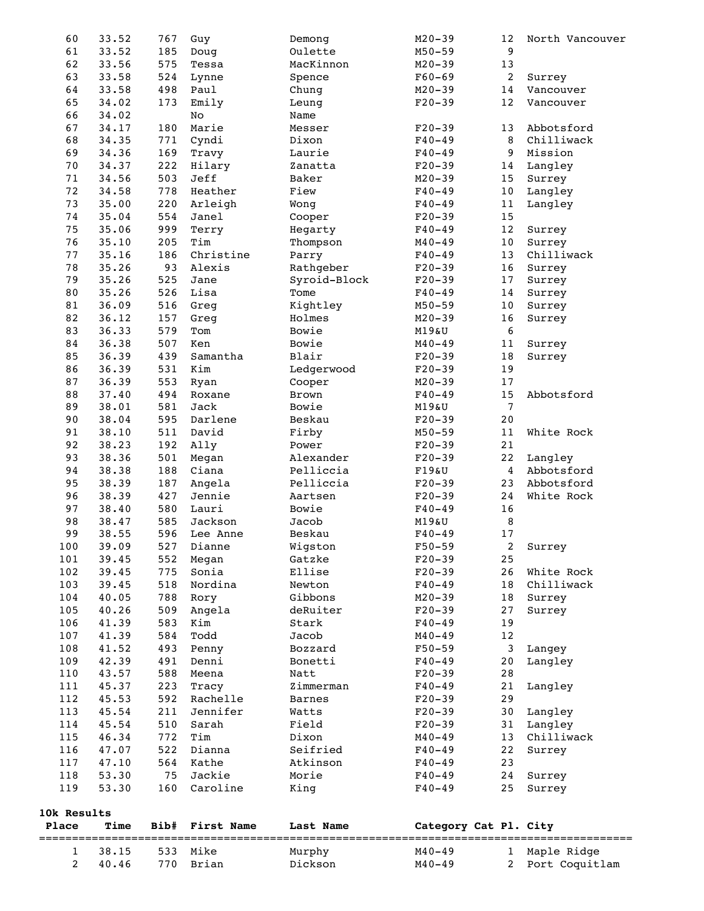| 1<br>$\overline{2}$ | 38.15<br>40.46 | 533<br>770 | Mike<br>Brian    | Murphy<br>Dickson     | $M40 - 49$<br>$M40 - 49$ | 1<br>2           | Maple Ridge<br>Port Coquitlam |  |
|---------------------|----------------|------------|------------------|-----------------------|--------------------------|------------------|-------------------------------|--|
| Place               | Time           | Bib#       | First Name       | Last Name             | Category Cat Pl. City    |                  |                               |  |
| 10k Results         |                |            |                  |                       |                          |                  |                               |  |
| 119                 | 53.30          | 160        | Caroline         | King                  | $F40 - 49$               | 25               | Surrey                        |  |
| 118                 | 53.30          | 75         | Jackie           | Morie                 | $F40 - 49$               | 24               | Surrey                        |  |
| 117                 | 47.10          | 564        | Kathe            | Atkinson              | $F40 - 49$               | 23               |                               |  |
| 115<br>116          | 46.34<br>47.07 | 772<br>522 | Tim<br>Dianna    | Dixon<br>Seifried     | $M40 - 49$<br>$F40 - 49$ | 13<br>22         | Chilliwack<br>Surrey          |  |
| 114                 | 45.54          | 510        | Sarah            | Field                 | $F20-39$                 | 31               | Langley                       |  |
| 113                 | 45.54          | 211        | Jennifer         | Watts                 | $F20-39$                 | 30               | Langley                       |  |
| 112                 | 45.53          | 592        | Rachelle         | <b>Barnes</b>         | $F20-39$                 | 29               |                               |  |
| 111                 | 45.37          | 223        | Tracy            | Zimmerman             | $F40 - 49$               | 21               | Langley                       |  |
| 110                 | 43.57          | 588        | Meena            | Natt                  | $F20-39$                 | 28               |                               |  |
| 109                 | 42.39          | 491        | Denni            | Bonetti               | $F40 - 49$               | 20               | Langley                       |  |
| 108                 | 41.52          | 493        | Penny            | Bozzard               | $F50 - 59$               | 3                | Langey                        |  |
| 107                 | 41.39          | 584        | Todd             | Jacob                 | $M40 - 49$               | 12               |                               |  |
| 106                 | 41.39          | 583        | Kim              | Stark                 | $F40 - 49$               | 19               |                               |  |
| 105                 | 40.26          | 509        | Angela           | deRuiter              | $F20-39$                 | 27               | Surrey                        |  |
| 104                 | 40.05          | 788        | Rory             | Gibbons               | $M20 - 39$               | 18               | Surrey                        |  |
| 103                 | 39.45          | 518        | Nordina          | Newton                | $F40 - 49$               | 18               | Chilliwack                    |  |
| 101<br>102          | 39.45<br>39.45 | 552<br>775 | Megan<br>Sonia   | Gatzke<br>Ellise      | $F20-39$<br>$F20-39$     | 25<br>26         | White Rock                    |  |
| 100                 | 39.09          | 527        | Dianne           | Wigston               | $F50 - 59$               | 2                | Surrey                        |  |
| 99                  | 38.55          | 596        | Lee Anne         | Beskau                | $F40 - 49$               | $17\,$           |                               |  |
| 98                  | 38.47          | 585        | Jackson          | Jacob                 | M19&U                    | 8                |                               |  |
| 97                  | 38.40          | 580        | Lauri            | Bowie                 | $F40 - 49$               | 16               |                               |  |
| 96                  | 38.39          | 427        | Jennie           | Aartsen               | $F20-39$                 | 24               | White Rock                    |  |
| 95                  | 38.39          | 187        | Angela           | Pelliccia             | $F20-39$                 | 23               | Abbotsford                    |  |
| 94                  | 38.38          | 188        | Ciana            | Pelliccia             | F19&U                    | $\overline{4}$   | Abbotsford                    |  |
| 93                  | 38.36          | 501        | Megan            | Alexander             | $F20-39$                 | 22               | Langley                       |  |
| 92                  | 38.23          | 192        | Ally             | Power                 | $F20-39$                 | 21               |                               |  |
| 91                  | 38.10          | 511        | David            | Firby                 | $M50 - 59$               | 11               | White Rock                    |  |
| 90                  | 38.04          | 595        | Darlene          | Beskau                | $F20-39$                 | 20               |                               |  |
| 89                  | 37.40<br>38.01 | 581        | Roxane<br>Jack   | <b>Brown</b><br>Bowie | $F40 - 49$<br>M19&U      | $\overline{7}$   |                               |  |
| 87<br>88            | 36.39          | 553<br>494 | Ryan             | Cooper                | $M20 - 39$               | 17<br>15         | Abbotsford                    |  |
| 86                  | 36.39          | 531        | Kim              | Ledgerwood            | $F20-39$                 | 19               |                               |  |
| 85                  | 36.39          | 439        | Samantha         | Blair                 | $F20-39$                 | $1\,8$           | Surrey                        |  |
| 84                  | 36.38          | 507        | Ken              | Bowie                 | $M40 - 49$               | 11               | Surrey                        |  |
| 83                  | 36.33          | 579        | Tom              | Bowie                 | M19&U                    | $\boldsymbol{6}$ |                               |  |
| 82                  | 36.12          | 157        | Greg             | Holmes                | $M20 - 39$               | 16               | Surrey                        |  |
| $8\,1$              | 36.09          | 516        | Greg             | Kightley              | $M50 - 59$               | 10               | Surrey                        |  |
| 80                  | 35.26          | 526        | Lisa             | Tome                  | $F40 - 49$               | 14               | Surrey                        |  |
| 79                  | 35.26          | 525        | Jane             | Syroid-Block          | $F20-39$                 | 17               | Surrey                        |  |
| 78                  | 35.26          | 93         | Alexis           | Rathgeber             | $F20-39$                 | 16               | Surrey                        |  |
| 76<br>77            | 35.10<br>35.16 | 205<br>186 | Tim<br>Christine | Thompson<br>Parry     | $M40 - 49$<br>$F40 - 49$ | 10<br>13         | Surrey<br>Chilliwack          |  |
| 75                  | 35.06          | 999        | Terry            | Hegarty               | $F40 - 49$               | 12               | Surrey                        |  |
| 74                  | 35.04          | 554        | Janel            | Cooper                | $F20-39$                 | 15               |                               |  |
| 73                  | 35.00          | 220        | Arleigh          | Wong                  | $F40 - 49$               | 11               | Langley                       |  |
| 72                  | 34.58          | 778        | Heather          | Fiew                  | $F40 - 49$               | 10               | Langley                       |  |
| 71                  | 34.56          | 503        | Jeff             | Baker                 | $M20 - 39$               | 15               | Surrey                        |  |
| 70                  | 34.37          | 222        | Hilary           | Zanatta               | $F20-39$                 | 14               | Langley                       |  |
| 69                  | 34.36          | 169        | Travy            | Laurie                | $F40 - 49$               | 9                | Mission                       |  |
| 68                  | 34.35          | 771        | Cyndi            | Dixon                 | $F40 - 49$               | 8                | Chilliwack                    |  |
| 67                  | 34.17          | 180        | Marie            | Messer                | $F20-39$                 | 13               | Abbotsford                    |  |
| 66                  | 34.02          |            | No               | Name                  |                          |                  | Vancouver                     |  |
| 64<br>65            | 33.58<br>34.02 | 498<br>173 | Paul<br>Emily    | Chung<br>Leung        | $M20 - 39$<br>$F20-39$   | 14<br>12         | Vancouver                     |  |
| 63                  | 33.58          | 524        | Lynne            | Spence                | $F60 - 69$               | $\overline{a}$   | Surrey                        |  |
| 62                  | 33.56          | 575        | Tessa            | MacKinnon             | $M20 - 39$               | 13               |                               |  |
| 61                  | 33.52          | 185        | Doug             | Oulette               | $M50 - 59$               | 9                |                               |  |
| 60                  | 33.52          | 767        | Guy              | Demong                | $M20 - 39$               | 12               | North Vancouver               |  |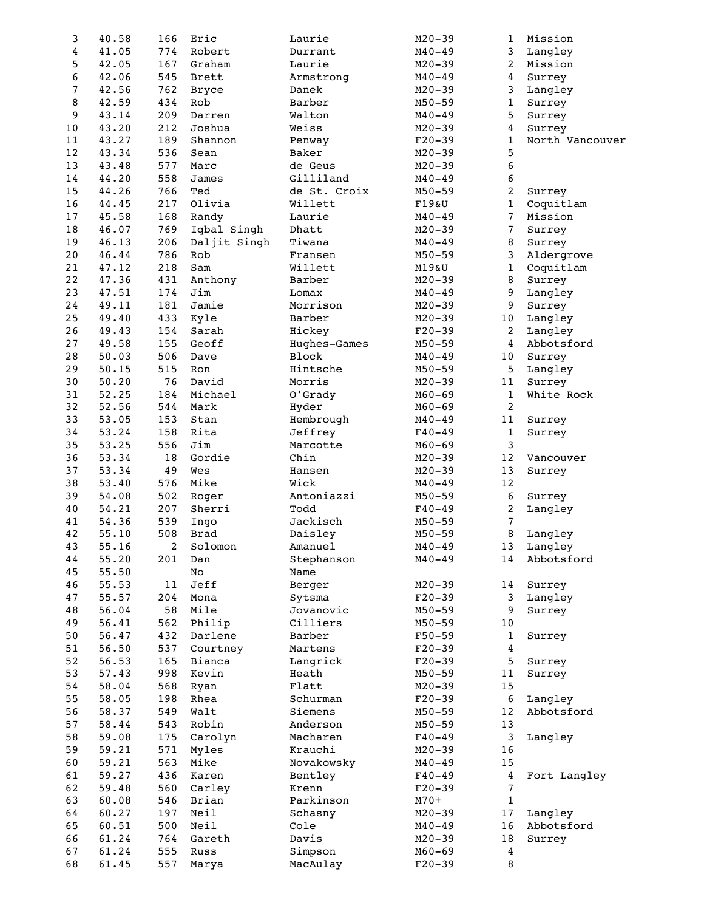| 3                | 40.58 | 166    | Eric         | Laurie       | $M20 - 39$ | 1                | Mission         |
|------------------|-------|--------|--------------|--------------|------------|------------------|-----------------|
| $\boldsymbol{4}$ | 41.05 | 774    | Robert       | Durrant      | $M40 - 49$ | 3                | Langley         |
| 5                | 42.05 | 167    | Graham       | Laurie       | $M20 - 39$ | $\overline{c}$   | Mission         |
| 6                | 42.06 | 545    | <b>Brett</b> | Armstrong    | $M40 - 49$ | $\boldsymbol{4}$ | Surrey          |
| 7                | 42.56 | 762    | <b>Bryce</b> | Danek        | $M20 - 39$ | 3                | Langley         |
| 8                | 42.59 | 434    | Rob          | Barber       | $M50 - 59$ | $\mathbf 1$      | Surrey          |
| 9                | 43.14 | 209    | Darren       | Walton       | $M40 - 49$ | 5                | Surrey          |
| 10               | 43.20 | 212    | Joshua       | Weiss        | $M20 - 39$ | $\boldsymbol{4}$ | Surrey          |
| 11               | 43.27 | 189    | Shannon      | Penway       | $F20-39$   | $\mathbf{1}$     | North Vancouver |
| 12               | 43.34 | 536    | Sean         | Baker        | $M20 - 39$ | 5                |                 |
| 13               | 43.48 | 577    | Marc         | de Geus      | $M20 - 39$ | $\boldsymbol{6}$ |                 |
| 14               | 44.20 | 558    | James        | Gilliland    | $M40 - 49$ | 6                |                 |
| 15               | 44.26 | 766    | Ted          | de St. Croix | $M50 - 59$ | $\overline{c}$   | Surrey          |
| 16               | 44.45 | 217    | Olivia       | Willett      | F19&U      | $\mathbf 1$      | Coquitlam       |
| $17$             | 45.58 | 168    | Randy        | Laurie       | $M40 - 49$ | 7                | Mission         |
|                  |       |        |              |              |            |                  |                 |
| $18\,$           | 46.07 | 769    | Iqbal Singh  | Dhatt        | $M20 - 39$ | 7                | Surrey          |
| 19               | 46.13 | 206    | Daljit Singh | Tiwana       | $M40 - 49$ | 8                | Surrey          |
| 20               | 46.44 | 786    | Rob          | Fransen      | $M50 - 59$ | 3                | Aldergrove      |
| 21               | 47.12 | 218    | Sam          | Willett      | M19&U      | $\mathbf 1$      | Coquitlam       |
| 22               | 47.36 | 431    | Anthony      | Barber       | $M20 - 39$ | 8                | Surrey          |
| 23               | 47.51 | 174    | Jim          | Lomax        | $M40 - 49$ | 9                | Langley         |
| 24               | 49.11 | 181    | Jamie        | Morrison     | $M20 - 39$ | 9                | Surrey          |
| 25               | 49.40 | 433    | Kyle         | Barber       | $M20 - 39$ | 10               | Langley         |
| 26               | 49.43 | 154    | Sarah        | Hickey       | $F20-39$   | 2                | Langley         |
| 27               | 49.58 | 155    | Geoff        | Hughes-Games | $M50 - 59$ | $\overline{4}$   | Abbotsford      |
| 28               | 50.03 | 506    | Dave         | Block        | $M40 - 49$ | 10               | Surrey          |
| 29               | 50.15 | 515    | Ron          | Hintsche     | $M50 - 59$ | 5                | Langley         |
| 30               | 50.20 | 76     | David        | Morris       | $M20 - 39$ | 11               | Surrey          |
| 31               | 52.25 | 184    | Michael      | O'Grady      | $M60 - 69$ | $\mathbf{1}$     | White Rock      |
| 32               | 52.56 | 544    | Mark         | Hyder        | $M60 - 69$ | $\boldsymbol{2}$ |                 |
| 33               | 53.05 | 153    | Stan         | Hembrough    | $M40 - 49$ | 11               | Surrey          |
| 34               | 53.24 | 158    | Rita         | Jeffrey      | $F40 - 49$ | $\mathbf 1$      | Surrey          |
| 35               | 53.25 | 556    | Jim          | Marcotte     | $M60 - 69$ | $\mathbf{3}$     |                 |
| 36               | 53.34 | 18     | Gordie       | Chin         | $M20 - 39$ | 12               | Vancouver       |
| 37               | 53.34 | 49     | Wes          | Hansen       | $M20 - 39$ | 13               | Surrey          |
| 38               | 53.40 | 576    | Mike         | Wick         | $M40 - 49$ | 12               |                 |
| 39               | 54.08 | 502    |              | Antoniazzi   | $M50 - 59$ | $\boldsymbol{6}$ |                 |
|                  |       |        | Roger        | Todd         |            |                  | Surrey          |
| 40               | 54.21 | 207    | Sherri       |              | $F40 - 49$ | $\boldsymbol{2}$ | Langley         |
| 41               | 54.36 | 539    | Ingo         | Jackisch     | $M50 - 59$ | 7                |                 |
| 42               | 55.10 | 508    | <b>Brad</b>  | Daisley      | $M50 - 59$ | 8                | Langley         |
| 43               | 55.16 | 2      | Solomon      | Amanuel      | $M40 - 49$ | 13               | Langley         |
| 44               | 55.20 | 201    | Dan          | Stephanson   | $M40 - 49$ | 14               | Abbotsford      |
| 45               | 55.50 |        | $_{\rm NO}$  | Name         |            |                  |                 |
| 46               | 55.53 | $1\,1$ | Jeff         | Berger       | $M20 - 39$ | 14               | Surrey          |
| 47               | 55.57 | 204    | Mona         | Sytsma       | $F20-39$   | 3                | Langley         |
| 48               | 56.04 | 58     | Mile         | Jovanovic    | $M50 - 59$ | 9                | Surrey          |
| 49               | 56.41 | 562    | Philip       | Cilliers     | $M50 - 59$ | 10               |                 |
| 50               | 56.47 | 432    | Darlene      | Barber       | $F50 - 59$ | $\mathbf{1}$     | Surrey          |
| 51               | 56.50 | 537    | Courtney     | Martens      | $F20-39$   | $\bf{4}$         |                 |
| 52               | 56.53 | 165    | Bianca       | Langrick     | $F20-39$   | 5                | Surrey          |
| 53               | 57.43 | 998    | Kevin        | Heath        | $M50 - 59$ | 11               | Surrey          |
| 54               | 58.04 | 568    | Ryan         | Flatt        | $M20 - 39$ | 15               |                 |
| 55               | 58.05 | 198    | Rhea         | Schurman     | $F20-39$   | $\boldsymbol{6}$ | Langley         |
| 56               | 58.37 | 549    | Walt         | Siemens      | $M50 - 59$ | 12               | Abbotsford      |
| 57               | 58.44 | 543    | Robin        | Anderson     | $M50 - 59$ | 13               |                 |
| 58               | 59.08 | 175    | Carolyn      | Macharen     | $F40 - 49$ | 3                | Langley         |
| 59               | 59.21 | 571    | Myles        | Krauchi      | $M20 - 39$ | 16               |                 |
| 60               | 59.21 | 563    | Mike         | Novakowsky   | $M40 - 49$ | 15               |                 |
| 61               | 59.27 | 436    | Karen        | Bentley      | $F40 - 49$ | $\boldsymbol{4}$ | Fort Langley    |
| 62               | 59.48 | 560    | Carley       | Krenn        | $F20-39$   | 7                |                 |
| 63               | 60.08 | 546    | Brian        | Parkinson    | $M70+$     | $\,1\,$          |                 |
| 64               | 60.27 | 197    | Neil         | Schasny      | $M20 - 39$ | 17               | Langley         |
| 65               | 60.51 | 500    | Neil         | Cole         | $M40 - 49$ | 16               | Abbotsford      |
| 66               | 61.24 | 764    | Gareth       | Davis        | $M20 - 39$ | 18               | Surrey          |
| 67               | 61.24 | 555    | Russ         | Simpson      | $M60 - 69$ | $\bf{4}$         |                 |
| 68               | 61.45 | 557    | Marya        | MacAulay     | $F20-39$   | $\, 8$           |                 |
|                  |       |        |              |              |            |                  |                 |